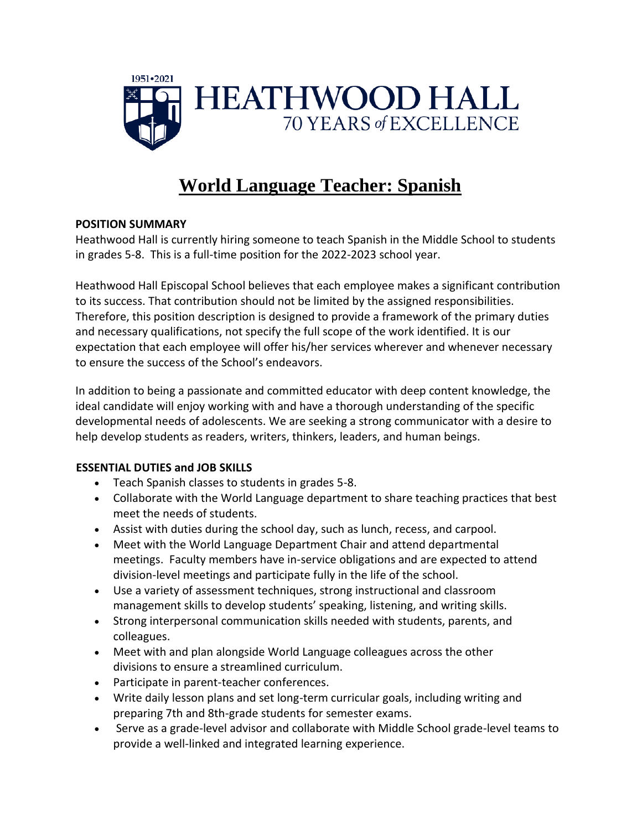

# **World Language Teacher: Spanish**

### **POSITION SUMMARY**

Heathwood Hall is currently hiring someone to teach Spanish in the Middle School to students in grades 5-8. This is a full-time position for the 2022-2023 school year.

Heathwood Hall Episcopal School believes that each employee makes a significant contribution to its success. That contribution should not be limited by the assigned responsibilities. Therefore, this position description is designed to provide a framework of the primary duties and necessary qualifications, not specify the full scope of the work identified. It is our expectation that each employee will offer his/her services wherever and whenever necessary to ensure the success of the School's endeavors.

In addition to being a passionate and committed educator with deep content knowledge, the ideal candidate will enjoy working with and have a thorough understanding of the specific developmental needs of adolescents. We are seeking a strong communicator with a desire to help develop students as readers, writers, thinkers, leaders, and human beings.

### **ESSENTIAL DUTIES and JOB SKILLS**

- Teach Spanish classes to students in grades 5-8.
- Collaborate with the World Language department to share teaching practices that best meet the needs of students.
- Assist with duties during the school day, such as lunch, recess, and carpool.
- Meet with the World Language Department Chair and attend departmental meetings. Faculty members have in-service obligations and are expected to attend division-level meetings and participate fully in the life of the school.
- Use a variety of assessment techniques, strong instructional and classroom management skills to develop students' speaking, listening, and writing skills.
- Strong interpersonal communication skills needed with students, parents, and colleagues.
- Meet with and plan alongside World Language colleagues across the other divisions to ensure a streamlined curriculum.
- Participate in parent-teacher conferences.
- Write daily lesson plans and set long-term curricular goals, including writing and preparing 7th and 8th-grade students for semester exams.
- Serve as a grade-level advisor and collaborate with Middle School grade-level teams to provide a well-linked and integrated learning experience.